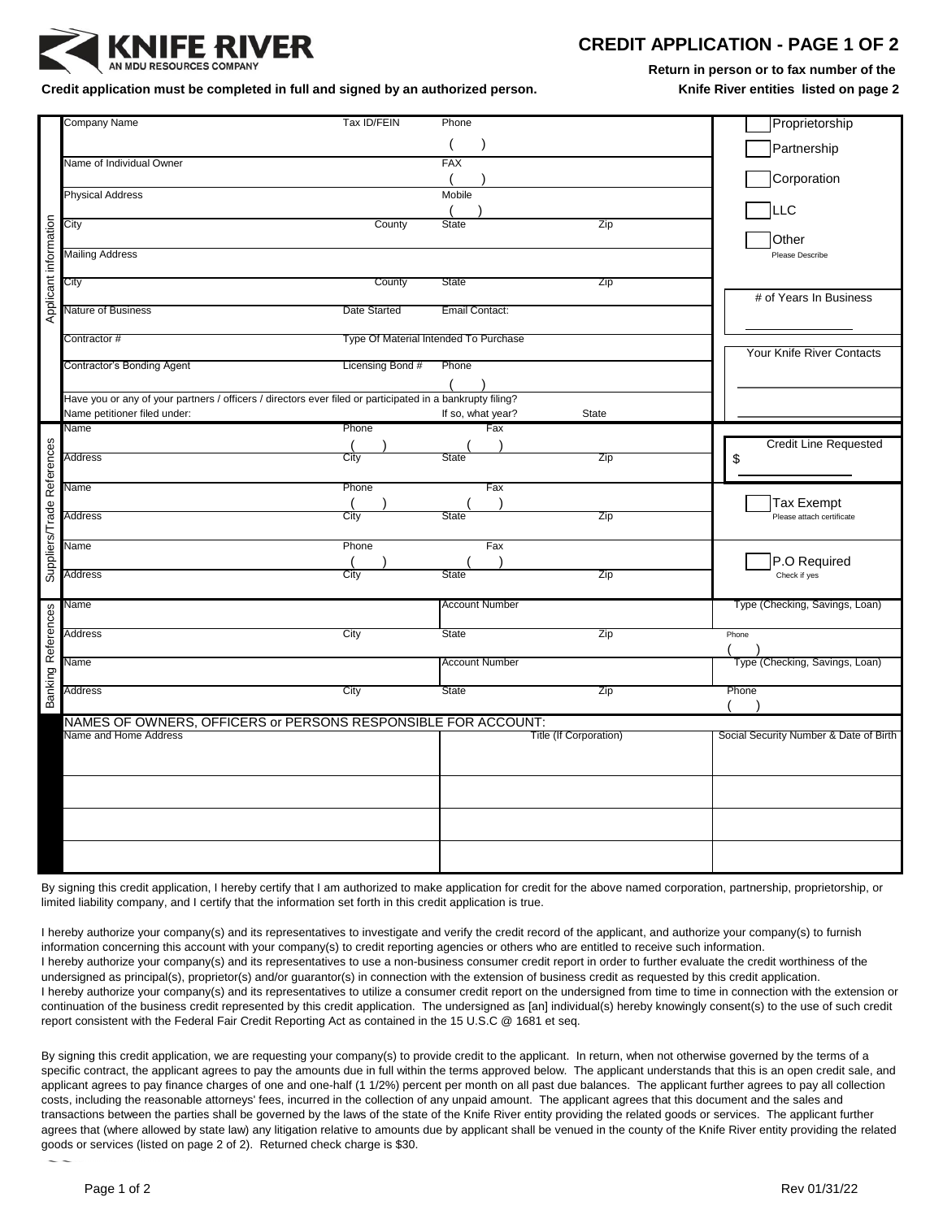

## **CREDIT APPLICATION - PAGE 1 OF 2**

**Return in person or to fax number of the** 

Credit application must be completed in full and signed by an authorized person. **Knife River entities listed on page 2** 

|                            | <b>Company Name</b>                                                                                                                                                       | Tax ID/FEIN                           | Phone                  |              | Proprietorship                         |
|----------------------------|---------------------------------------------------------------------------------------------------------------------------------------------------------------------------|---------------------------------------|------------------------|--------------|----------------------------------------|
|                            |                                                                                                                                                                           |                                       |                        |              | Partnership                            |
|                            | Name of Individual Owner                                                                                                                                                  |                                       | <b>FAX</b>             |              |                                        |
|                            |                                                                                                                                                                           |                                       |                        |              | Corporation                            |
|                            | <b>Physical Address</b>                                                                                                                                                   |                                       | Mobile                 |              |                                        |
|                            |                                                                                                                                                                           |                                       |                        |              | <b>LLC</b>                             |
| Applicant information      | City                                                                                                                                                                      | County                                | <b>State</b>           | Zip          |                                        |
|                            |                                                                                                                                                                           |                                       |                        |              | Other                                  |
|                            | <b>Mailing Address</b>                                                                                                                                                    |                                       |                        |              | Please Describe                        |
|                            | City                                                                                                                                                                      | County                                | <b>State</b>           | Zip          |                                        |
|                            |                                                                                                                                                                           |                                       |                        |              | # of Years In Business                 |
|                            | <b>Nature of Business</b>                                                                                                                                                 | Date Started                          | Email Contact:         |              |                                        |
|                            |                                                                                                                                                                           |                                       |                        |              |                                        |
|                            | Contractor#                                                                                                                                                               | Type Of Material Intended To Purchase |                        |              |                                        |
|                            |                                                                                                                                                                           |                                       |                        |              | Your Knife River Contacts              |
|                            | Contractor's Bonding Agent                                                                                                                                                | Licensing Bond #                      | Phone                  |              |                                        |
|                            |                                                                                                                                                                           |                                       |                        |              |                                        |
|                            | Have you or any of your partners / officers / directors ever filed or participated in a bankrupty filing?                                                                 |                                       |                        |              |                                        |
|                            | Name petitioner filed under:                                                                                                                                              | Phone                                 | If so, what year?      | <b>State</b> |                                        |
|                            | Name                                                                                                                                                                      |                                       | Fax                    |              | <b>Credit Line Requested</b>           |
|                            | <b>Address</b>                                                                                                                                                            | City                                  | State                  | Zip          | \$                                     |
|                            |                                                                                                                                                                           |                                       |                        |              |                                        |
|                            | Name                                                                                                                                                                      | Phone                                 | Fax                    |              |                                        |
|                            |                                                                                                                                                                           |                                       |                        |              | <b>Tax Exempt</b>                      |
|                            | <b>Address</b>                                                                                                                                                            | City                                  | <b>State</b>           | Zip          | Please attach certificate              |
| Suppliers/Trade References |                                                                                                                                                                           |                                       |                        |              |                                        |
|                            | Name                                                                                                                                                                      | Phone                                 | Fax                    |              |                                        |
|                            |                                                                                                                                                                           |                                       |                        |              | P.O Required                           |
|                            | <b>Address</b>                                                                                                                                                            | City                                  | <b>State</b>           | Zip          | Check if yes                           |
|                            | Name                                                                                                                                                                      |                                       | <b>Account Number</b>  |              | Type (Checking, Savings, Loan)         |
|                            |                                                                                                                                                                           |                                       |                        |              |                                        |
|                            | Address                                                                                                                                                                   | City                                  | <b>State</b>           | Zip          | Phone                                  |
|                            |                                                                                                                                                                           |                                       |                        |              |                                        |
|                            | Name                                                                                                                                                                      |                                       | <b>Account Number</b>  |              | Type (Checking, Savings, Loan)         |
| Banking References         |                                                                                                                                                                           |                                       |                        |              |                                        |
|                            | <b>Address</b>                                                                                                                                                            | City                                  | <b>State</b>           | Zip          | Phone                                  |
|                            |                                                                                                                                                                           |                                       |                        |              |                                        |
|                            | NAMES OF OWNERS, OFFICERS or PERSONS RESPONSIBLE FOR ACCOUNT:<br>Name and Home Address                                                                                    |                                       | Title (If Corporation) |              | Social Security Number & Date of Birth |
|                            |                                                                                                                                                                           |                                       |                        |              |                                        |
|                            |                                                                                                                                                                           |                                       |                        |              |                                        |
|                            |                                                                                                                                                                           |                                       |                        |              |                                        |
|                            |                                                                                                                                                                           |                                       |                        |              |                                        |
|                            |                                                                                                                                                                           |                                       |                        |              |                                        |
|                            |                                                                                                                                                                           |                                       |                        |              |                                        |
|                            |                                                                                                                                                                           |                                       |                        |              |                                        |
|                            |                                                                                                                                                                           |                                       |                        |              |                                        |
|                            |                                                                                                                                                                           |                                       |                        |              |                                        |
|                            | By signing this credit application, I hereby certify that I am authorized to make application for credit for the above named corporation, partnership, proprietorship, or |                                       |                        |              |                                        |
|                            | limited liability company, and I certify that the information set forth in this credit application is true.                                                               |                                       |                        |              |                                        |

I hereby authorize your company(s) and its representatives to investigate and verify the credit record of the applicant, and authorize your company(s) to furnish information concerning this account with your company(s) to credit reporting agencies or others who are entitled to receive such information. I hereby authorize your company(s) and its representatives to use a non-business consumer credit report in order to further evaluate the credit worthiness of the undersigned as principal(s), proprietor(s) and/or guarantor(s) in connection with the extension of business credit as requested by this credit application. I hereby authorize your company(s) and its representatives to utilize a consumer credit report on the undersigned from time to time in connection with the extension or continuation of the business credit represented by this credit application. The undersigned as [an] individual(s) hereby knowingly consent(s) to the use of such credit report consistent with the Federal Fair Credit Reporting Act as contained in the 15 U.S.C @ 1681 et seq.

By signing this credit application, we are requesting your company(s) to provide credit to the applicant. In return, when not otherwise governed by the terms of a specific contract, the applicant agrees to pay the amounts due in full within the terms approved below. The applicant understands that this is an open credit sale, and applicant agrees to pay finance charges of one and one-half (1 1/2%) percent per month on all past due balances. The applicant further agrees to pay all collection costs, including the reasonable attorneys' fees, incurred in the collection of any unpaid amount. The applicant agrees that this document and the sales and transactions between the parties shall be governed by the laws of the state of the Knife River entity providing the related goods or services. The applicant further agrees that (where allowed by state law) any litigation relative to amounts due by applicant shall be venued in the county of the Knife River entity providing the related goods or services (listed on page 2 of 2). Returned check charge is \$30.